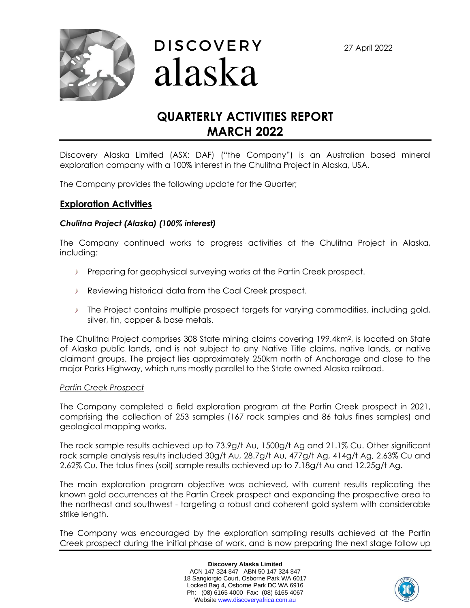27 April 2022





# **QUARTERLY ACTIVITIES REPORT MARCH 2022**

Discovery Alaska Limited (ASX: DAF) ("the Company") is an Australian based mineral exploration company with a 100% interest in the Chulitna Project in Alaska, USA.

The Company provides the following update for the Quarter;

# **Exploration Activities**

# *Chulitna Project (Alaska) (100% interest)*

The Company continued works to progress activities at the Chulitna Project in Alaska, including:

- Preparing for geophysical surveying works at the Partin Creek prospect.
- Reviewing historical data from the Coal Creek prospect.
- $\blacktriangleright$  The Project contains multiple prospect targets for varying commodities, including gold, silver, tin, copper & base metals.

The Chulitna Project comprises 308 State mining claims covering 199.4km2, is located on State of Alaska public lands, and is not subject to any Native Title claims, native lands, or native claimant groups. The project lies approximately 250km north of Anchorage and close to the major Parks Highway, which runs mostly parallel to the State owned Alaska railroad.

### *Partin Creek Prospect*

The Company completed a field exploration program at the Partin Creek prospect in 2021, comprising the collection of 253 samples (167 rock samples and 86 talus fines samples) and geological mapping works.

The rock sample results achieved up to 73.9g/t Au, 1500g/t Ag and 21.1% Cu. Other significant rock sample analysis results included 30g/t Au, 28.7g/t Au, 477g/t Ag, 414g/t Ag, 2.63% Cu and 2.62% Cu. The talus fines (soil) sample results achieved up to 7.18g/t Au and 12.25g/t Ag.

The main exploration program objective was achieved, with current results replicating the known gold occurrences at the Partin Creek prospect and expanding the prospective area to the northeast and southwest - targeting a robust and coherent gold system with considerable strike length.

The Company was encouraged by the exploration sampling results achieved at the Partin Creek prospect during the initial phase of work, and is now preparing the next stage follow up

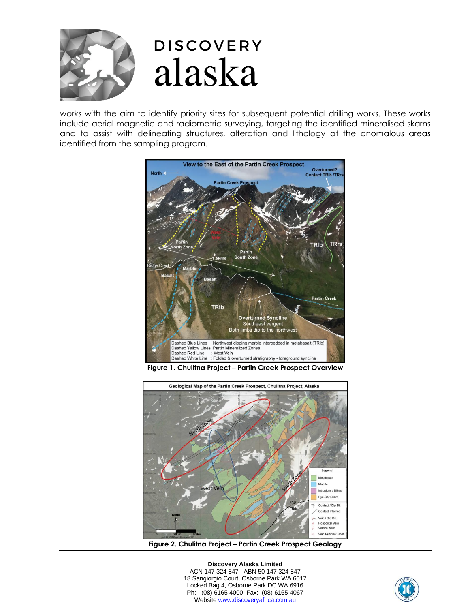

works with the aim to identify priority sites for subsequent potential drilling works. These works include aerial magnetic and radiometric surveying, targeting the identified mineralised skarns and to assist with delineating structures, alteration and lithology at the anomalous areas identified from the sampling program.



**Figure 1. Chulitna Project – Partin Creek Prospect Overview**



**Figure 2. Chulitna Project – Partin Creek Prospect Geology**

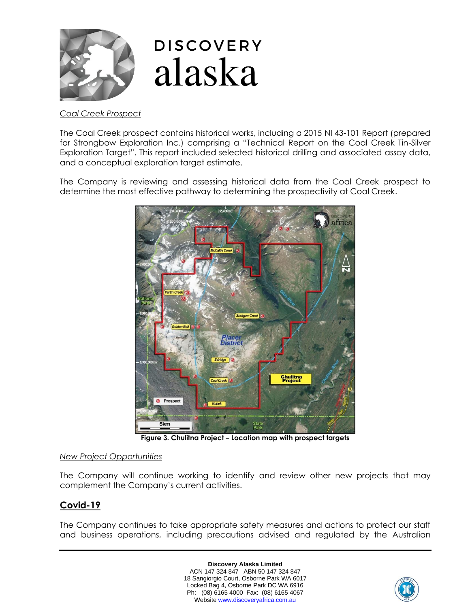

# **DISCOVERY** alaska

# *Coal Creek Prospect*

The Coal Creek prospect contains historical works, including a 2015 NI 43-101 Report (prepared for Strongbow Exploration Inc.) comprising a "Technical Report on the Coal Creek Tin-Silver Exploration Target". This report included selected historical drilling and associated assay data, and a conceptual exploration target estimate.

The Company is reviewing and assessing historical data from the Coal Creek prospect to determine the most effective pathway to determining the prospectivity at Coal Creek.



**Figure 3. Chulitna Project – Location map with prospect targets**

# *New Project Opportunities*

The Company will continue working to identify and review other new projects that may complement the Company's current activities.

# **Covid-19**

The Company continues to take appropriate safety measures and actions to protect our staff and business operations, including precautions advised and regulated by the Australian

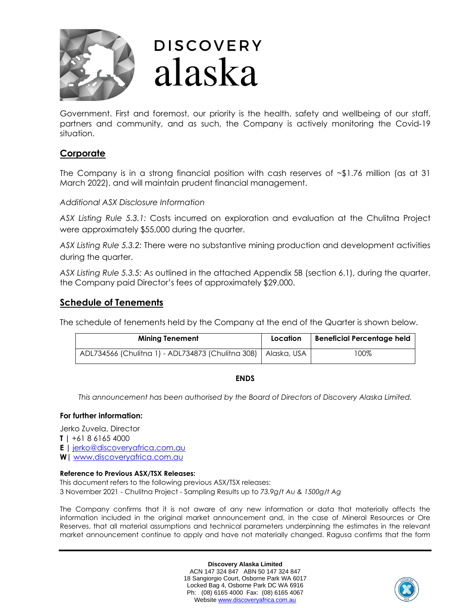

# **DISCOVERY** alaska

Government. First and foremost, our priority is the health, safety and wellbeing of our staff, partners and community, and as such, the Company is actively monitoring the Covid‐19 situation.

# **Corporate**

The Company is in a strong financial position with cash reserves of  $\sim$ \$1.76 million (as at 31 March 2022), and will maintain prudent financial management.

*Additional ASX Disclosure Information*

*ASX Listing Rule 5.3.1:* Costs incurred on exploration and evaluation at the Chulitna Project were approximately \$55,000 during the quarter.

*ASX Listing Rule 5.3.2:* There were no substantive mining production and development activities during the quarter.

*ASX Listing Rule 5.3.5:* As outlined in the attached Appendix 5B (section 6.1), during the quarter, the Company paid Director's fees of approximately \$29,000.

# **Schedule of Tenements**

The schedule of tenements held by the Company at the end of the Quarter is shown below.

| <b>Mining Tenement</b>                                          | Location | <b>Beneficial Percentage held</b> |
|-----------------------------------------------------------------|----------|-----------------------------------|
| ADL734566 (Chulitna 1) - ADL734873 (Chulitna 308)   Alaska, USA |          | 100%                              |

# **ENDS**

*This announcement has been authorised by the Board of Directors of Discovery Alaska Limited.*

# **For further information:**

Jerko Zuvela, Director **T |** +61 8 6165 4000

**E |** [jerko@discoveryafrica.com.au](mailto:jerko@discoveryafrica.com.au)

**W|** [www.discoveryafrica.com.au](http://www.discoveryafrica.com.au/)

# **Reference to Previous ASX/TSX Releases:**

This document refers to the following previous ASX/TSX releases: 3 November 2021 - Chulitna Project - Sampling Results up to *73.9g/t Au & 1500g/t Ag*

The Company confirms that it is not aware of any new information or data that materially affects the information included in the original market announcement and, in the case of Mineral Resources or Ore Reserves, that all material assumptions and technical parameters underpinning the estimates in the relevant market announcement continue to apply and have not materially changed. Ragusa confirms that the form

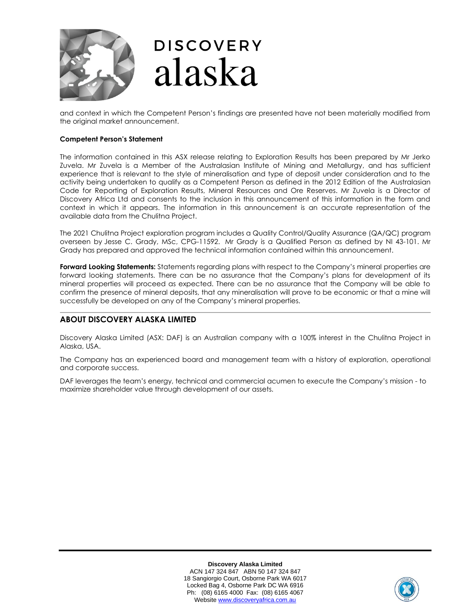

and context in which the Competent Person's findings are presented have not been materially modified from the original market announcement.

#### **Competent Person's Statement**

The information contained in this ASX release relating to Exploration Results has been prepared by Mr Jerko Zuvela. Mr Zuvela is a Member of the Australasian Institute of Mining and Metallurgy, and has sufficient experience that is relevant to the style of mineralisation and type of deposit under consideration and to the activity being undertaken to qualify as a Competent Person as defined in the 2012 Edition of the Australasian Code for Reporting of Exploration Results, Mineral Resources and Ore Reserves. Mr Zuvela is a Director of Discovery Africa Ltd and consents to the inclusion in this announcement of this information in the form and context in which it appears. The information in this announcement is an accurate representation of the available data from the Chulitna Project.

The 2021 Chulitna Project exploration program includes a Quality Control/Quality Assurance (QA/QC) program overseen by Jesse C. Grady, MSc, CPG-11592. Mr Grady is a Qualified Person as defined by NI 43-101. Mr Grady has prepared and approved the technical information contained within this announcement.

**Forward Looking Statements:** Statements regarding plans with respect to the Company's mineral properties are forward looking statements. There can be no assurance that the Company's plans for development of its mineral properties will proceed as expected. There can be no assurance that the Company will be able to confirm the presence of mineral deposits, that any mineralisation will prove to be economic or that a mine will successfully be developed on any of the Company's mineral properties.

#### **ABOUT DISCOVERY ALASKA LIMITED**

Discovery Alaska Limited (ASX: DAF) is an Australian company with a 100% interest in the Chulitna Project in Alaska, USA.

The Company has an experienced board and management team with a history of exploration, operational and corporate success.

DAF leverages the team's energy, technical and commercial acumen to execute the Company's mission - to maximize shareholder value through development of our assets.

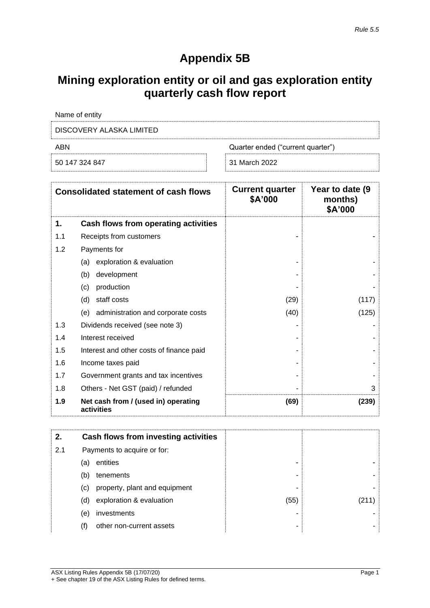# **Appendix 5B**

# **Mining exploration entity or oil and gas exploration entity quarterly cash flow report**

| Name of entity                           |               |  |
|------------------------------------------|---------------|--|
| DISCOVERY ALASKA LIMITED                 |               |  |
| ABN<br>Quarter ended ("current quarter") |               |  |
| 50 147 324 847                           | 31 March 2022 |  |

| <b>Consolidated statement of cash flows</b> |                                                   | <b>Current quarter</b><br>\$A'000 | Year to date (9)<br>months)<br>\$A'000 |
|---------------------------------------------|---------------------------------------------------|-----------------------------------|----------------------------------------|
| 1.                                          | Cash flows from operating activities              |                                   |                                        |
| 1.1                                         | Receipts from customers                           |                                   |                                        |
| 1.2                                         | Payments for                                      |                                   |                                        |
|                                             | exploration & evaluation<br>(a)                   |                                   |                                        |
|                                             | development<br>(b)                                |                                   |                                        |
|                                             | production<br>(c)                                 |                                   |                                        |
|                                             | staff costs<br>(d)                                | (29)                              | (117)                                  |
|                                             | (e) administration and corporate costs            | (40)                              | (125)                                  |
| 1.3                                         | Dividends received (see note 3)                   |                                   |                                        |
| 1.4                                         | Interest received                                 |                                   |                                        |
| 1.5                                         | Interest and other costs of finance paid          |                                   |                                        |
| 1.6                                         | Income taxes paid                                 |                                   |                                        |
| 1.7                                         | Government grants and tax incentives              |                                   |                                        |
| 1.8                                         | Others - Net GST (paid) / refunded                |                                   | 3                                      |
| 1.9                                         | Net cash from / (used in) operating<br>activities | (69)                              | (239)                                  |

| 2.  |     | Cash flows from investing activities |      |  |
|-----|-----|--------------------------------------|------|--|
| 2.1 |     | Payments to acquire or for:          |      |  |
|     | (a) | entities                             | -    |  |
|     | (b) | tenements                            | ۰    |  |
|     | (C) | property, plant and equipment        | -    |  |
|     | (d) | exploration & evaluation             | (55) |  |
|     | (e) | investments                          |      |  |
|     | (f) | other non-current assets             | ۰    |  |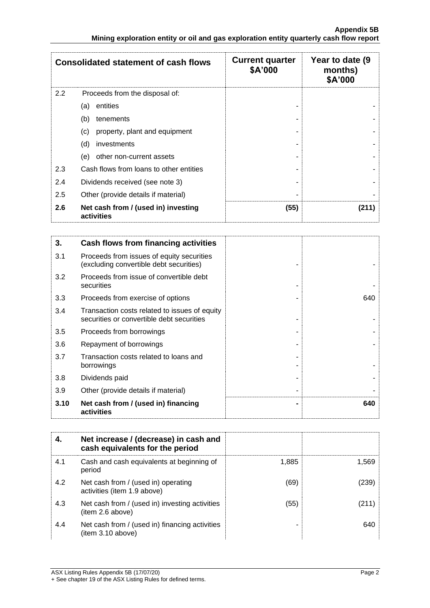|     | <b>Consolidated statement of cash flows</b>       | <b>Current quarter</b><br>\$A'000 | Year to date (9)<br>months)<br>\$A'000 |
|-----|---------------------------------------------------|-----------------------------------|----------------------------------------|
| 2.2 | Proceeds from the disposal of:                    |                                   |                                        |
|     | entities<br>(a)                                   |                                   |                                        |
|     | (b)<br>tenements                                  |                                   |                                        |
|     | property, plant and equipment<br>(c)              |                                   |                                        |
|     | (d)<br>investments                                |                                   |                                        |
|     | other non-current assets<br>(e)                   |                                   |                                        |
| 2.3 | Cash flows from loans to other entities           |                                   |                                        |
| 2.4 | Dividends received (see note 3)                   |                                   |                                        |
| 2.5 | Other (provide details if material)               |                                   |                                        |
| 2.6 | Net cash from / (used in) investing<br>activities | (55)                              | (211)                                  |

| 3.   | Cash flows from financing activities                                                       |     |
|------|--------------------------------------------------------------------------------------------|-----|
| 3.1  | Proceeds from issues of equity securities<br>(excluding convertible debt securities)       |     |
| 3.2  | Proceeds from issue of convertible debt<br>securities                                      |     |
| 3.3  | Proceeds from exercise of options                                                          | 640 |
| 3.4  | Transaction costs related to issues of equity<br>securities or convertible debt securities |     |
| 3.5  | Proceeds from borrowings                                                                   |     |
| 3.6  | Repayment of borrowings                                                                    |     |
| 3.7  | Transaction costs related to loans and<br>borrowings                                       |     |
| 3.8  | Dividends paid                                                                             |     |
| 3.9  | Other (provide details if material)                                                        |     |
| 3.10 | Net cash from / (used in) financing<br>activities                                          | 640 |

|     | Net increase / (decrease) in cash and<br>cash equivalents for the period |       |       |
|-----|--------------------------------------------------------------------------|-------|-------|
| 4.1 | Cash and cash equivalents at beginning of<br>period                      | 1,885 | 1.569 |
| 4.2 | Net cash from / (used in) operating<br>activities (item 1.9 above)       | (69)  | (239) |
| 4.3 | Net cash from / (used in) investing activities<br>(item 2.6 above)       | (55)  | (211) |
| 4.4 | Net cash from / (used in) financing activities<br>item 3.10 above)       |       | 640   |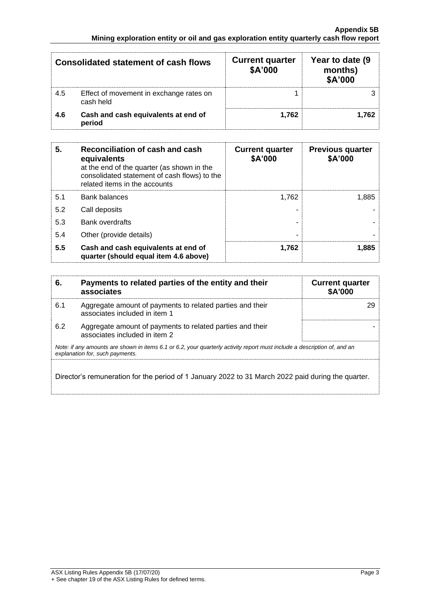| Consolidated statement of cash flows |                                                      | <b>Current quarter</b><br>\$A'000 | Year to date (9<br>months)<br>\$A'000 |
|--------------------------------------|------------------------------------------------------|-----------------------------------|---------------------------------------|
| 4.5                                  | Effect of movement in exchange rates on<br>cash held |                                   |                                       |
| 4.6                                  | Cash and cash equivalents at end of<br>period        | 1.762                             | 1.762                                 |

| 5.  | Reconciliation of cash and cash<br>equivalents<br>at the end of the quarter (as shown in the<br>consolidated statement of cash flows) to the<br>related items in the accounts | <b>Current quarter</b><br>\$A'000 | <b>Previous quarter</b><br>\$A'000 |
|-----|-------------------------------------------------------------------------------------------------------------------------------------------------------------------------------|-----------------------------------|------------------------------------|
| 5.1 | <b>Bank balances</b>                                                                                                                                                          | 1.762                             | 1,885                              |
| 5.2 | Call deposits                                                                                                                                                                 |                                   |                                    |
| 5.3 | <b>Bank overdrafts</b>                                                                                                                                                        |                                   |                                    |
| 5.4 | Other (provide details)                                                                                                                                                       | ۰                                 |                                    |
| 5.5 | Cash and cash equivalents at end of<br>quarter (should equal item 4.6 above)                                                                                                  | 1.762                             | 1.885                              |

| 6.  | Payments to related parties of the entity and their<br>associates                                                                                           | <b>Current quarter</b><br><b>\$A'000</b> |
|-----|-------------------------------------------------------------------------------------------------------------------------------------------------------------|------------------------------------------|
| 6.1 | Aggregate amount of payments to related parties and their<br>associates included in item 1                                                                  | 29                                       |
| 6.2 | Aggregate amount of payments to related parties and their<br>associates included in item 2                                                                  |                                          |
|     | Note: if any amounts are shown in items 6.1 or 6.2, your quarterly activity report must include a description of, and an<br>explanation for, such payments. |                                          |
|     | Director's remuneration for the period of 1 January 2022 to 31 March 2022 paid during the quarter.                                                          |                                          |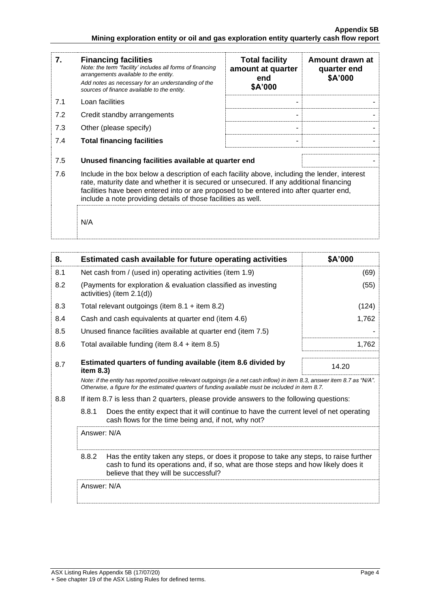| 7.  | <b>Financing facilities</b><br>Note: the term "facility' includes all forms of financing<br>arrangements available to the entity.<br>Add notes as necessary for an understanding of the<br>sources of finance available to the entity.                                                                                                               | <b>Total facility</b><br>amount at quarter<br>end<br>\$A'000 | Amount drawn at<br>quarter end<br>\$A'000 |
|-----|------------------------------------------------------------------------------------------------------------------------------------------------------------------------------------------------------------------------------------------------------------------------------------------------------------------------------------------------------|--------------------------------------------------------------|-------------------------------------------|
| 7.1 | Loan facilities                                                                                                                                                                                                                                                                                                                                      |                                                              |                                           |
| 7.2 | Credit standby arrangements                                                                                                                                                                                                                                                                                                                          |                                                              |                                           |
| 7.3 | Other (please specify)                                                                                                                                                                                                                                                                                                                               |                                                              |                                           |
| 7.4 | <b>Total financing facilities</b>                                                                                                                                                                                                                                                                                                                    |                                                              |                                           |
| 7.5 | Unused financing facilities available at quarter end                                                                                                                                                                                                                                                                                                 |                                                              |                                           |
| 7.6 | Include in the box below a description of each facility above, including the lender, interest<br>rate, maturity date and whether it is secured or unsecured. If any additional financing<br>facilities have been entered into or are proposed to be entered into after quarter end,<br>include a note providing details of those facilities as well. |                                                              |                                           |
|     | N/A                                                                                                                                                                                                                                                                                                                                                  |                                                              |                                           |

| 8.  |             | Estimated cash available for future operating activities                                                                                                                                                                        | \$A'000 |
|-----|-------------|---------------------------------------------------------------------------------------------------------------------------------------------------------------------------------------------------------------------------------|---------|
| 8.1 |             | Net cash from / (used in) operating activities (item 1.9)                                                                                                                                                                       | (69)    |
| 8.2 |             | (Payments for exploration & evaluation classified as investing<br>activities) (item 2.1(d))                                                                                                                                     | (55)    |
| 8.3 |             | Total relevant outgoings (item $8.1 +$ item $8.2$ )                                                                                                                                                                             | (124)   |
| 8.4 |             | Cash and cash equivalents at quarter end (item 4.6)                                                                                                                                                                             | 1,762   |
| 8.5 |             | Unused finance facilities available at quarter end (item 7.5)                                                                                                                                                                   |         |
| 8.6 |             | Total available funding (item $8.4 +$ item $8.5$ )                                                                                                                                                                              | 1,762   |
| 8.7 | item 8.3)   | Estimated quarters of funding available (item 8.6 divided by                                                                                                                                                                    | 14.20   |
|     |             | Note: if the entity has reported positive relevant outgoings (ie a net cash inflow) in item 8.3, answer item 8.7 as "N/A".<br>Otherwise, a figure for the estimated quarters of funding available must be included in item 8.7. |         |
| 8.8 |             | If item 8.7 is less than 2 quarters, please provide answers to the following questions:                                                                                                                                         |         |
|     | 8.8.1       | Does the entity expect that it will continue to have the current level of net operating<br>cash flows for the time being and, if not, why not?                                                                                  |         |
|     | Answer: N/A |                                                                                                                                                                                                                                 |         |
|     | 8.8.2       | Has the entity taken any steps, or does it propose to take any steps, to raise further<br>cash to fund its operations and, if so, what are those steps and how likely does it<br>believe that they will be successful?          |         |
|     | Answer: N/A |                                                                                                                                                                                                                                 |         |
|     |             |                                                                                                                                                                                                                                 |         |